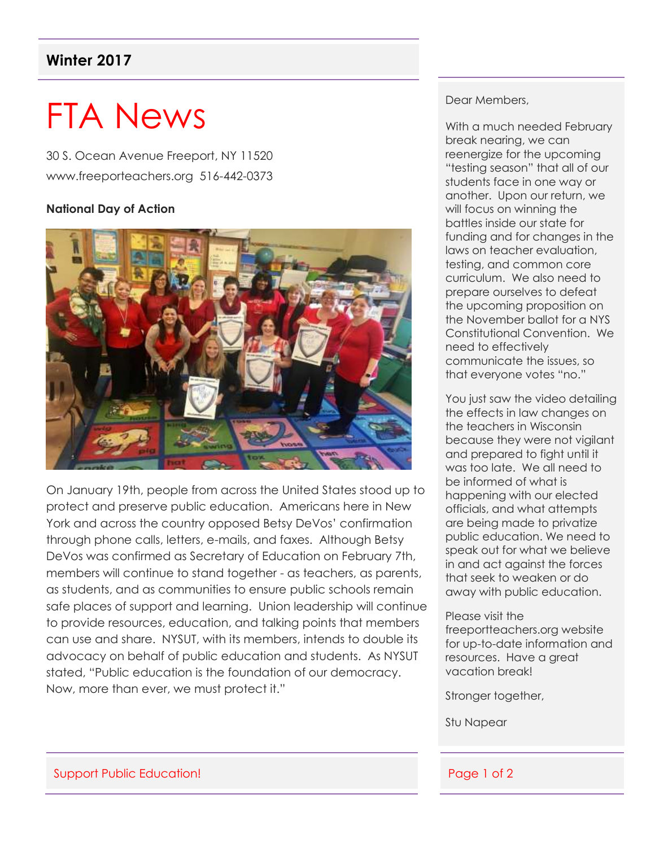# **Winter 2017**

# FTA News

30 S. Ocean Avenue Freeport, NY 11520 www.freeporteachers.org 516-442-0373

#### **National Day of Action**



On January 19th, people from across the United States stood up to protect and preserve public education. Americans here in New York and across the country opposed Betsy DeVos' confirmation through phone calls, letters, e-mails, and faxes. Although Betsy DeVos was confirmed as Secretary of Education on February 7th, members will continue to stand together - as teachers, as parents, as students, and as communities to ensure public schools remain safe places of support and learning. Union leadership will continue to provide resources, education, and talking points that members can use and share. NYSUT, with its members, intends to double its advocacy on behalf of public education and students. As NYSUT stated, "Public education is the foundation of our democracy. Now, more than ever, we must protect it."

#### Dear Members,

With a much needed February break nearing, we can reenergize for the upcoming "testing season" that all of our students face in one way or another. Upon our return, we will focus on winning the battles inside our state for funding and for changes in the laws on teacher evaluation, testing, and common core curriculum. We also need to prepare ourselves to defeat the upcoming proposition on the November ballot for a NYS Constitutional Convention. We need to effectively communicate the issues, so that everyone votes "no."

You just saw the video detailing the effects in law changes on the teachers in Wisconsin because they were not vigilant and prepared to fight until it was too late. We all need to be informed of what is happening with our elected officials, and what attempts are being made to privatize public education. We need to speak out for what we believe in and act against the forces that seek to weaken or do away with public education.

#### Please visit the

freeportteachers.org website for up-to-date information and resources. Have a great vacation break!

Stronger together,

Stu Napear

#### Support Public Education! And the state of 2 support Public Education!